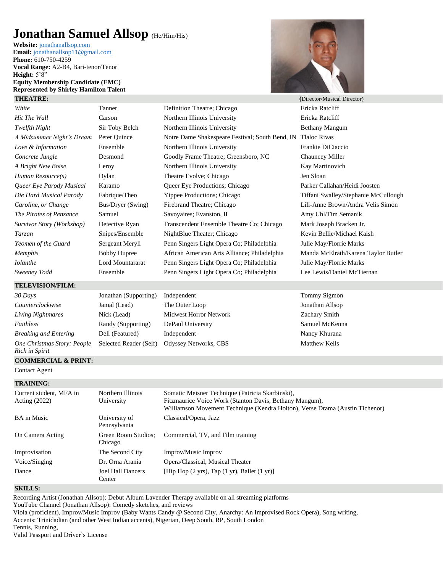## **Jonathan Samuel Allsop** (He/Him/His)

**Website:** [jonathanallsop.com](http://jonathanallsop.com/) **Email:** [jonathanallsop11@gmail.com](mailto:jonathanallsop11@gmail.com) **Phone:** 610-750-4259 **Vocal Range:** A2-B4, Bari-tenor/Tenor **Height:**  $5'8''$ **Equity Membership Candidate (EMC) Represented by Shirley Hamilton Talent**



| <b>THEATRE:</b>                               |                                 |                                                                                                                                                                                             | (Director/Musical Director)          |
|-----------------------------------------------|---------------------------------|---------------------------------------------------------------------------------------------------------------------------------------------------------------------------------------------|--------------------------------------|
| White                                         | Tanner                          | Definition Theatre; Chicago                                                                                                                                                                 | Ericka Ratcliff                      |
| Hit The Wall                                  | Carson                          | Northern Illinois University                                                                                                                                                                | Ericka Ratcliff                      |
| Twelfth Night                                 | Sir Toby Belch                  | Northern Illinois University                                                                                                                                                                | <b>Bethany Mangum</b>                |
| A Midsummer Night's Dream                     | Peter Quince                    | Notre Dame Shakespeare Festival; South Bend, IN                                                                                                                                             | <b>Tlaloc Rivas</b>                  |
| Love & Information                            | Ensemble                        | Northern Illinois University                                                                                                                                                                | Frankie DiCiaccio                    |
| Concrete Jungle                               | Desmond                         | Goodly Frame Theatre; Greensboro, NC                                                                                                                                                        | Chauncey Miller                      |
| A Bright New Boise                            | Leroy                           | Northern Illinois University                                                                                                                                                                | Kay Martinovich                      |
| Human Resource(s)                             | Dylan                           | Theatre Evolve; Chicago                                                                                                                                                                     | Jen Sloan                            |
| Queer Eye Parody Musical                      | Karamo                          | Queer Eye Productions; Chicago                                                                                                                                                              | Parker Callahan/Heidi Joosten        |
| Die Hard Musical Parody                       | Fabrique/Theo                   | Yippee Productions; Chicago                                                                                                                                                                 | Tiffani Swalley/Stephanie McCullough |
| Caroline, or Change                           | Bus/Dryer (Swing)               | Firebrand Theatre; Chicago                                                                                                                                                                  | Lili-Anne Brown/Andra Velis Simon    |
| The Pirates of Penzance                       | Samuel                          | Savoyaires; Evanston, IL                                                                                                                                                                    | Amy Uhl/Tim Semanik                  |
| Survivor Story (Workshop)                     | Detective Ryan                  | Transcendent Ensemble Theatre Co; Chicago                                                                                                                                                   | Mark Joseph Bracken Jr.              |
| <i>Tarzan</i>                                 | Snipes/Ensemble                 | NightBlue Theater; Chicago                                                                                                                                                                  | Kevin Bellie/Michael Kaish           |
| Yeomen of the Guard                           | Sergeant Meryll                 | Penn Singers Light Opera Co; Philadelphia                                                                                                                                                   | Julie May/Florrie Marks              |
| <b>Memphis</b>                                | <b>Bobby Dupree</b>             | African American Arts Alliance; Philadelphia                                                                                                                                                | Manda McElrath/Karena Taylor Butler  |
| <b>I</b> olanthe                              | Lord Mountararat                | Penn Singers Light Opera Co; Philadelphia                                                                                                                                                   | Julie May/Florrie Marks              |
| Sweeney Todd                                  | Ensemble                        | Penn Singers Light Opera Co; Philadelphia                                                                                                                                                   | Lee Lewis/Daniel McTiernan           |
| <b>TELEVISION/FILM:</b>                       |                                 |                                                                                                                                                                                             |                                      |
| 30 Days                                       | Jonathan (Supporting)           | Independent                                                                                                                                                                                 | Tommy Sigmon                         |
| Counterclockwise                              | Jamal (Lead)                    | The Outer Loop                                                                                                                                                                              | Jonathan Allsop                      |
| Living Nightmares                             | Nick (Lead)                     | Midwest Horror Network                                                                                                                                                                      | Zachary Smith                        |
| Faithless                                     | Randy (Supporting)              | DePaul University                                                                                                                                                                           | Samuel McKenna                       |
| <b>Breaking and Entering</b>                  | Dell (Featured)                 | Independent                                                                                                                                                                                 | Nancy Khurana                        |
| One Christmas Story: People<br>Rich in Spirit | Selected Reader (Self)          | Odyssey Networks, CBS                                                                                                                                                                       | <b>Matthew Kells</b>                 |
| <b>COMMERCIAL &amp; PRINT:</b>                |                                 |                                                                                                                                                                                             |                                      |
| <b>Contact Agent</b>                          |                                 |                                                                                                                                                                                             |                                      |
| <b>TRAINING:</b>                              |                                 |                                                                                                                                                                                             |                                      |
| Current student, MFA in<br>Acting (2022)      | Northern Illinois<br>University | Somatic Meisner Technique (Patricia Skarbinski),<br>Fitzmaurice Voice Work (Stanton Davis, Bethany Mangum),<br>Williamson Movement Technique (Kendra Holton), Verse Drama (Austin Tichenor) |                                      |
| <b>BA</b> in Music                            | University of<br>Pennsylvania   | Classical/Opera, Jazz                                                                                                                                                                       |                                      |
| On Camera Acting                              | Green Room Studios;             | Commercial, TV, and Film training                                                                                                                                                           |                                      |

Voice/Singing Dr. Orna Arania Opera/Classical, Musical Theater Dance Joel Hall Dancers

**SKILLS:**

Recording Artist (Jonathan Allsop): Debut Album Lavender Therapy available on all streaming platforms

YouTube Channel (Jonathan Allsop): Comedy sketches, and reviews

Chicago

Center

Improvisation The Second City Improv/Music Improv

Viola (proficient), Improv/Music Improv (Baby Wants Candy @ Second City, Anarchy: An Improvised Rock Opera), Song writing, Accents: Trinidadian (and other West Indian accents), Nigerian, Deep South, RP, South London

[Hip Hop (2 yrs), Tap (1 yr), Ballet (1 yr)]

Tennis, Running,

Valid Passport and Driver's License